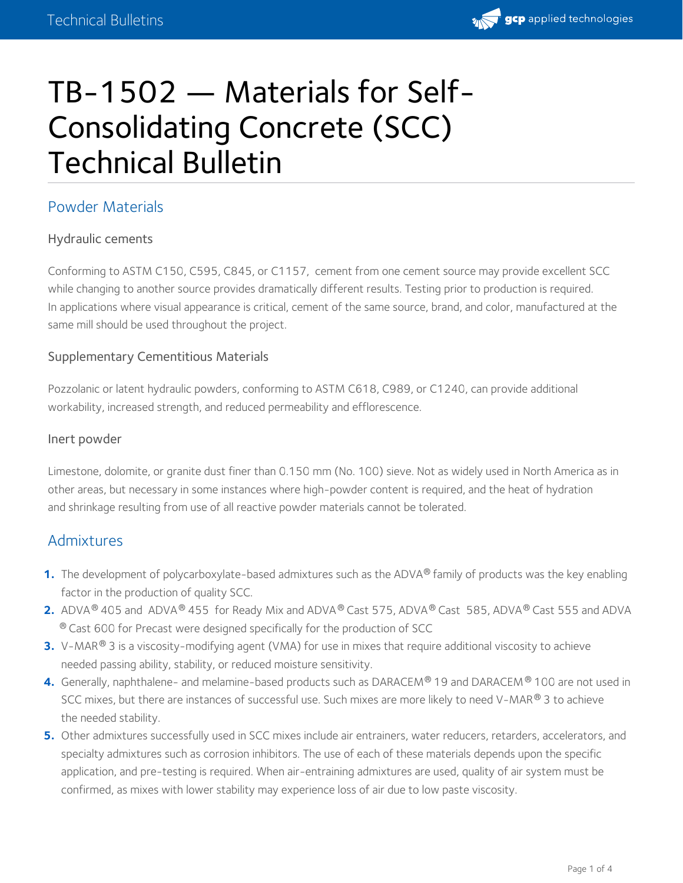

# TB-1502 — Materials for Self- Consolidating Concrete (SCC) Technical Bulletin

## Powder Materials

### Hydraulic cements

Conforming to ASTM C150, C595, C845, or C1157, cement from one cement source may provide excellent SCC while changing to another source provides dramatically different results. Testing prior to production is required. In applications where visual appearance is critical, cement of the same source, brand, and color, manufactured at the same mill should be used throughout the project.

### Supplementary Cementitious Materials

Pozzolanic or latent hydraulic powders, conforming to ASTM C618, C989, or C1240, can provide additional workability, increased strength, and reduced permeability and efflorescence.

#### Inert powder

Limestone, dolomite, or granite dust finer than 0.150 mm (No. 100) sieve. Not as widely used in North America as in other areas, but necessary in some instances where high-powder content is required, and the heat of hydration and shrinkage resulting from use of all reactive powder materials cannot be tolerated.

## Admixtures

- **1.** The development of polycarboxylate-based admixtures such as the ADVA® family of products was the key enabling factor in the production of quality SCC.
- **2.** ADVA® 405 and ADVA® 455 for Ready Mix and ADVA® Cast 575, ADVA® Cast 585, ADVA® Cast 555 and ADVA  $^\circledR$  Cast 600 for Precast were designed specifically for the production of SCC  $^{\circledR}$
- 3. V-MAR<sup>®</sup> 3 is a viscosity-modifying agent (VMA) for use in mixes that require additional viscosity to achieve needed passing ability, stability, or reduced moisture sensitivity.
- **4.** Generally, naphthalene- and melamine-based products such as DARACEM® 19 and DARACEM® 100 are not used in SCC mixes, but there are instances of successful use. Such mixes are more likely to need V-MAR $^\circledR$  3 to achieve the needed stability.
- **5.** Other admixtures successfully used in SCC mixes include air entrainers, water reducers, retarders, accelerators, and specialty admixtures such as corrosion inhibitors. The use of each of these materials depends upon the specific application, and pre-testing is required. When air-entraining admixtures are used, quality of air system must be confirmed, as mixes with lower stability may experience loss of air due to low paste viscosity.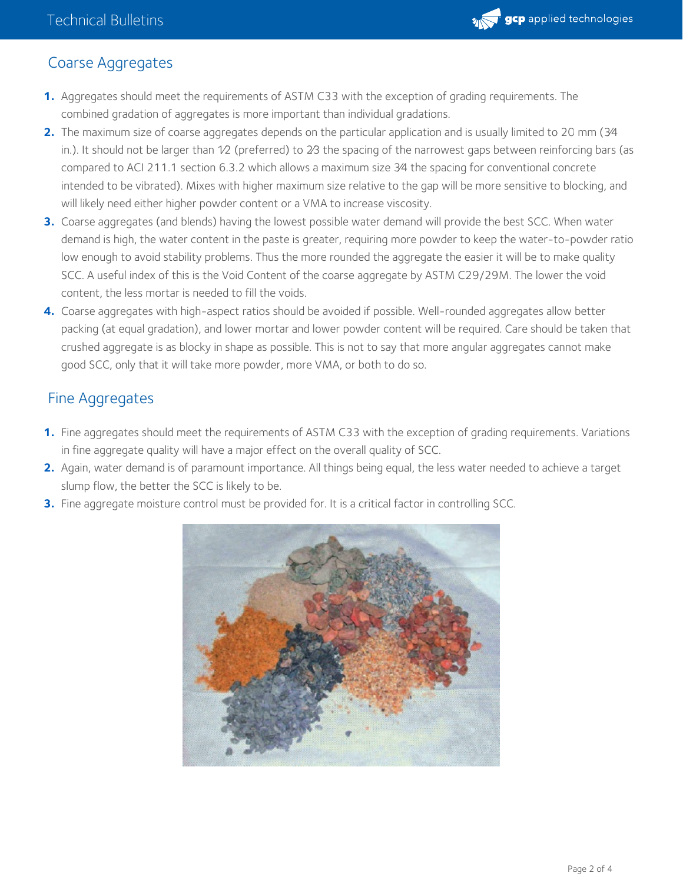

# Coarse Aggregates

- 1. Aggregates should meet the requirements of ASTM C33 with the exception of grading requirements. The combined gradation of aggregates is more important than individual gradations. **1.**
- The maximum size of coarse aggregates depends on the particular application and is usually limited to 20 mm (3⁄4 **2.** in.). It should not be larger than  $1/2$  (preferred) to  $2/3$  the spacing of the narrowest gaps between reinforcing bars (as compared to ACI 211.1 section 6.3.2 which allows a maximum size 3⁄4 the spacing for conventional concrete intended to be vibrated). Mixes with higher maximum size relative to the gap will be more sensitive to blocking, and will likely need either higher powder content or a VMA to increase viscosity.
- Coarse aggregates (and blends) having the lowest possible water demand will provide the best SCC. When water **3.** demand is high, the water content in the paste is greater, requiring more powder to keep the water-to-powder ratio low enough to avoid stability problems. Thus the more rounded the aggregate the easier it will be to make quality SCC. A useful index of this is the Void Content of the coarse aggregate by ASTM C29/29M. The lower the void content, the less mortar is needed to fill the voids.
- Coarse aggregates with high-aspect ratios should be avoided if possible. Well-rounded aggregates allow better **4.** packing (at equal gradation), and lower mortar and lower powder content will be required. Care should be taken that crushed aggregate is as blocky in shape as possible. This is not to say that more angular aggregates cannot make good SCC, only that it will take more powder, more VMA, or both to do so.

# Fine Aggregates

- **1.** Fine aggregates should meet the requirements of ASTM C33 with the exception of grading requirements. Variations in fine aggregate quality will have <sup>a</sup> major effect on the overall quality of SCC. **1.**
- Again, water demand is of paramount importance. All things being equal, the less water needed to achieve a target slump flow, the better the SCC is likely to be. **2.**
- **3.** Fine aggregate moisture control must be provided for. It is a critical factor in controlling SCC.

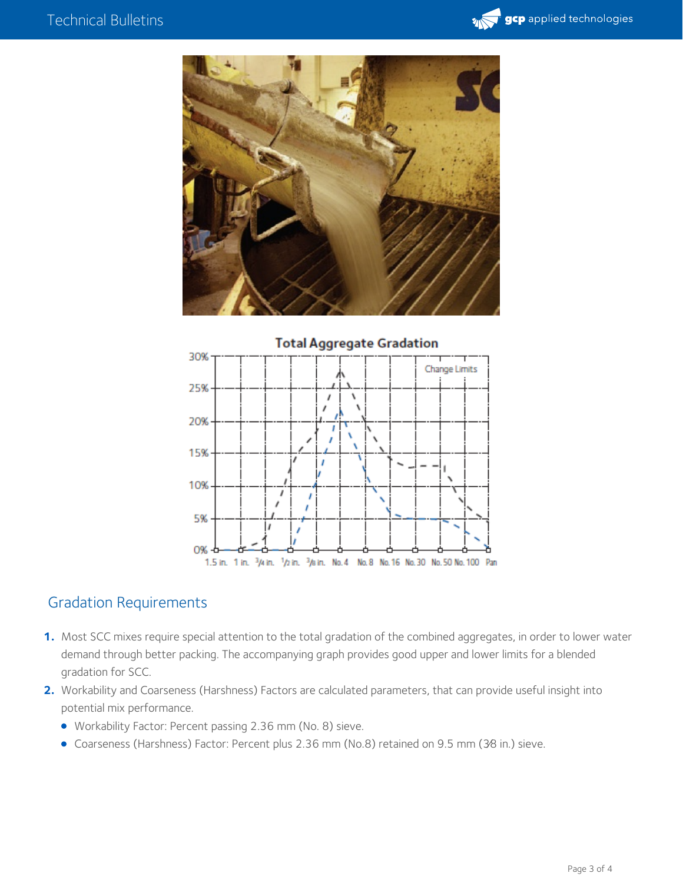





# Gradation Requirements

- **1.** Most SCC mixes require special attention to the total gradation of the combined aggregates, in order to lower water demand through better packing. The accompanying graph provides good upper and lower limits for a blended gradation for SCC.
- Workability and Coarseness (Harshness) Factors are calculated parameters, that can provide useful insight into potential mix performance. **2.**
	- Workability Factor: Percent passing 2.36 mm (No. 8) sieve.
	- Coarseness (Harshness) Factor: Percent plus 2.36 mm (No.8) retained on 9.5 mm (3⁄8 in.) sieve.